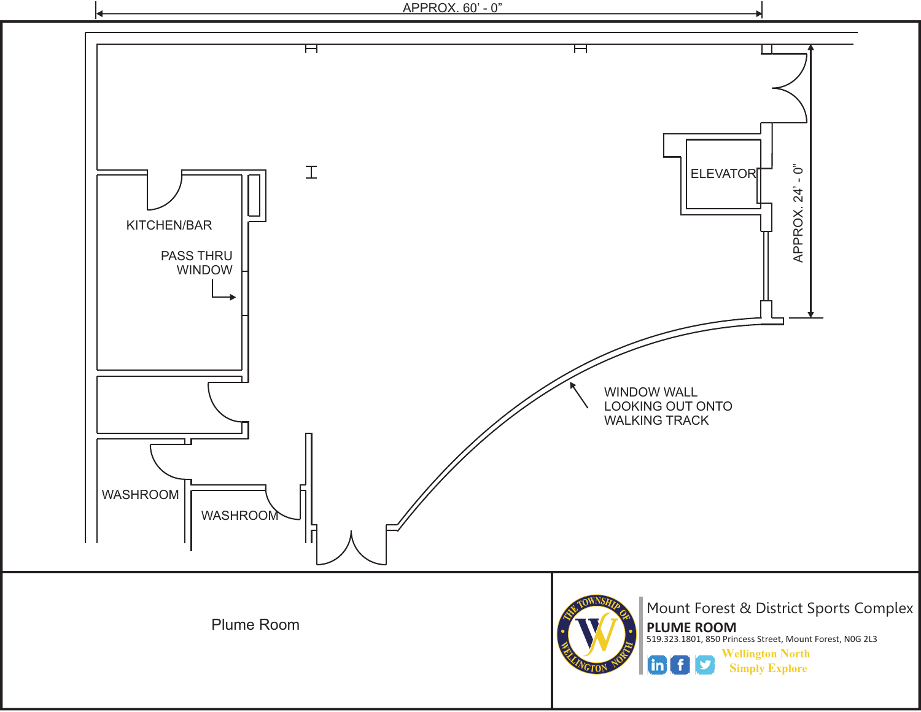APPROX. 60' - 0"



 519.323.1801, 850 Princess Street, Mount Forest, N0G 2L3 $in$   $f$   $g$ 

**W Nellington orthS E imply xplore**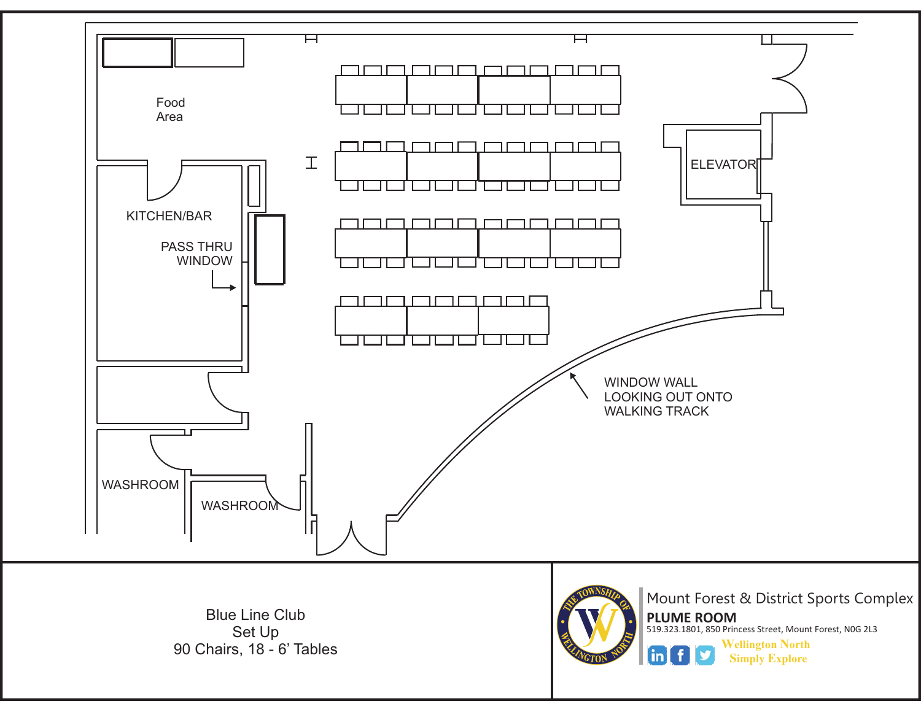

**S E imply xplore**

 $\ln$   $\mathbf{f}$ 

y

90 Chairs, 18 - 6' Tables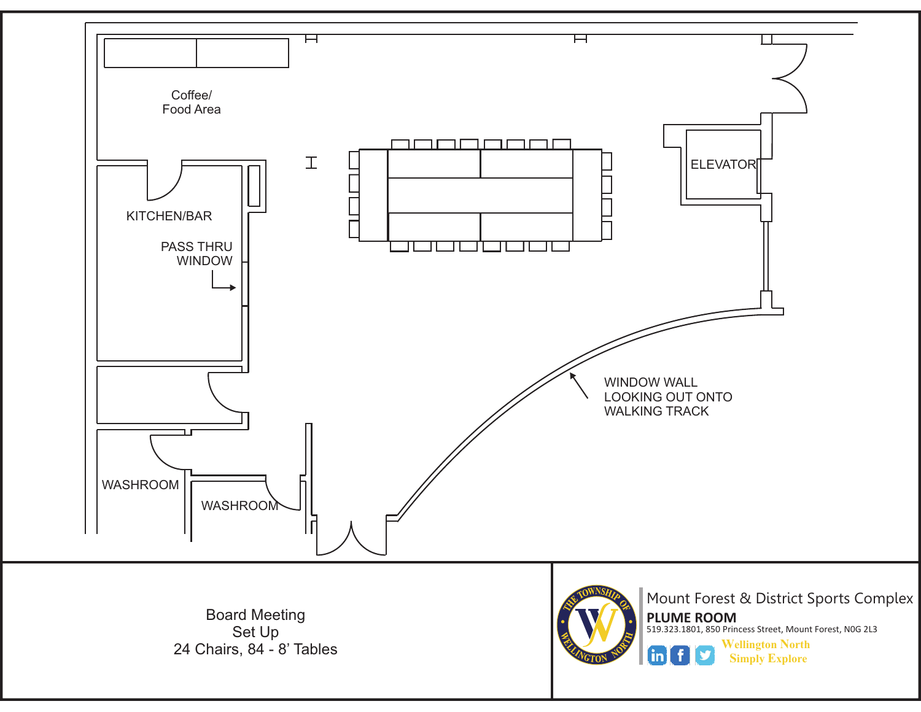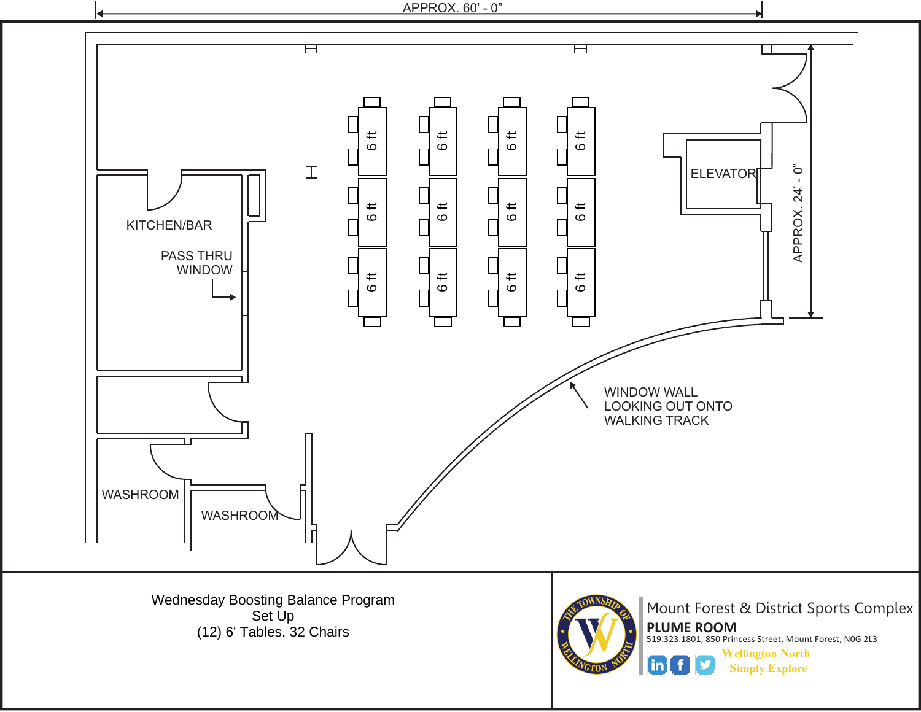



Wednesday Boosting Balance ProgramSet Up(12) 6' Tables, 32 Chairs



Mount Forest & District Sports Complex**PLUME ROOM**519.323.1801, 850 Princess Street, Mount Forest, N0G 2L3 **W Nellington orth** $\left(\frac{1}{2}\right)$ Ø **S E imply xplore**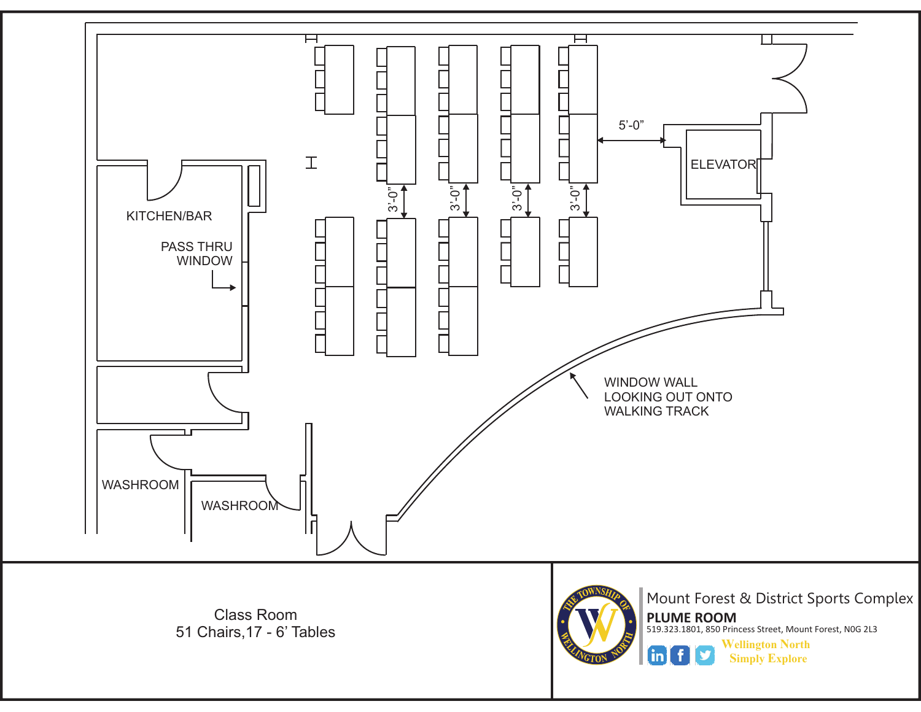

51 Chairs,17 - 6' Tables



Mount Forest & District Sports Complex519.323.1801, 850 Princess Street, Mount Forest, N0G 2L3 **W Nellington orth** $\ln$  f y **S E imply xplore**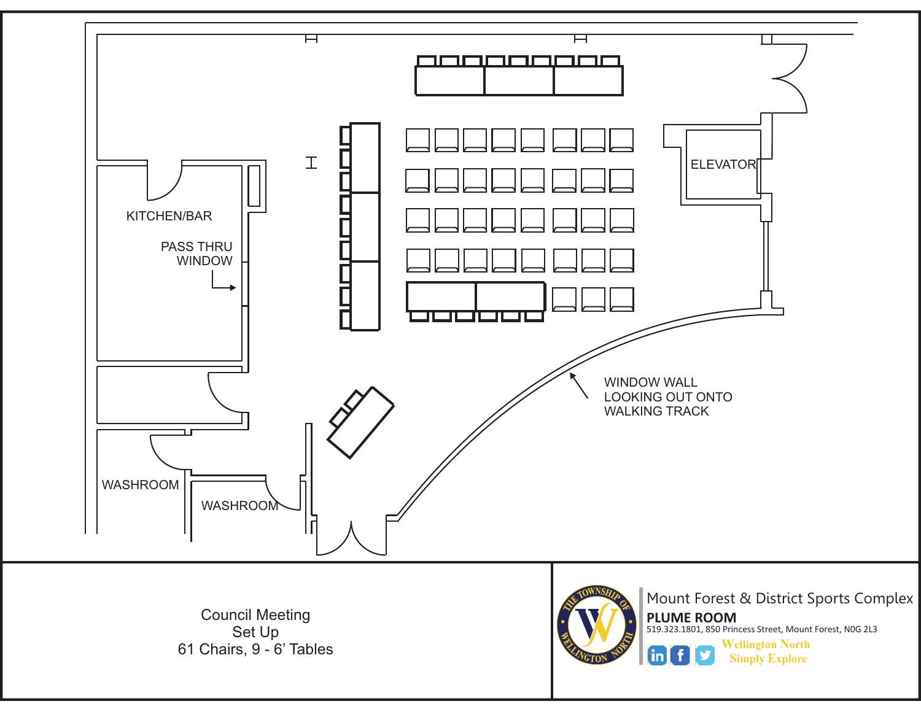

Council MeetingSet Up61 Chairs, 9 - 6' Tables



Mount Forest & District Sports Complex**PLUME ROOM**519.323.1801, 850 Princess Street, Mount Forest, N0G 2L3 **W Nellington orth** $\ln$  f y **S E imply xplore**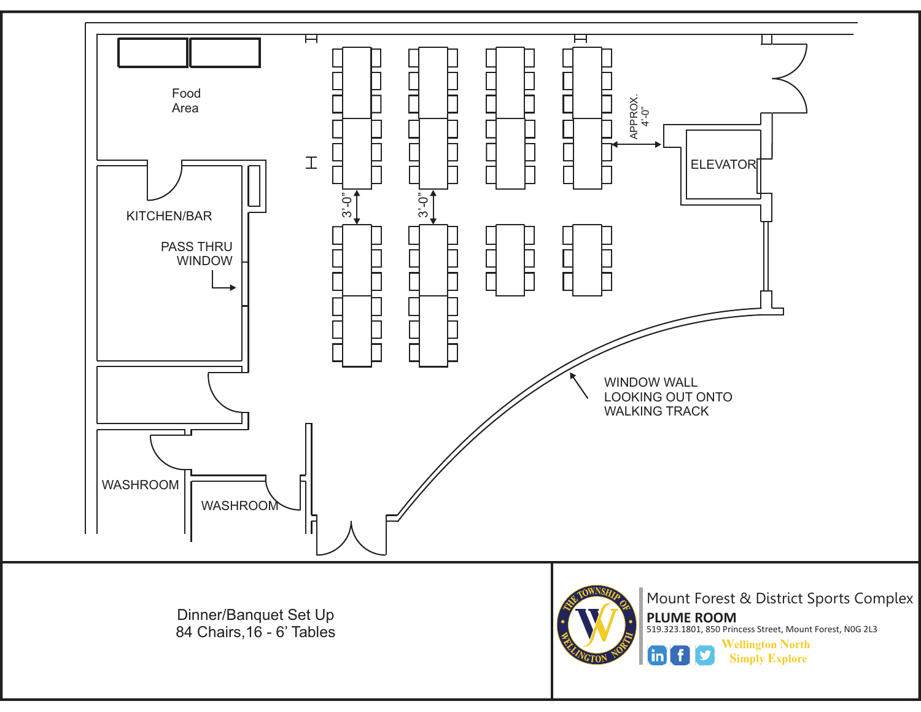

**W Nellington orth** $\ln$   $\mathbf{f}$ y **S E imply xplore**

Dinner/Banquet Set Up 84 Chairs,16 - 6' Tables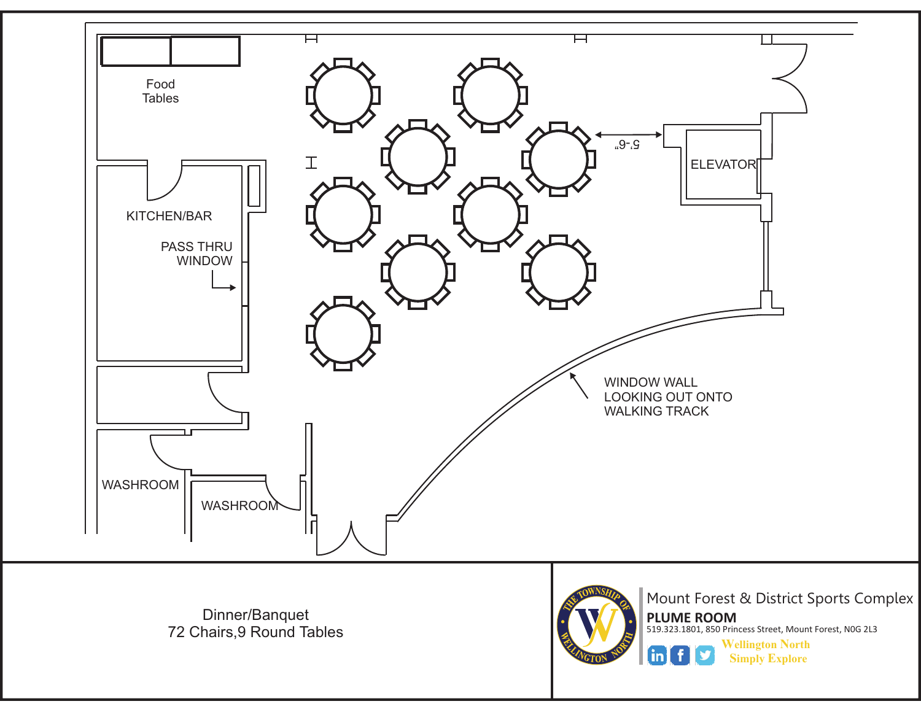

Dinner/Banquet 72 Chairs,9 Round Tables



Mount Forest & District Sports Complex**PLUME ROOM** 519.323.1801, 850 Princess Street, Mount Forest, N0G 2L3 **W Nellington orth** $\ln$   $f$ У **S E imply xplore**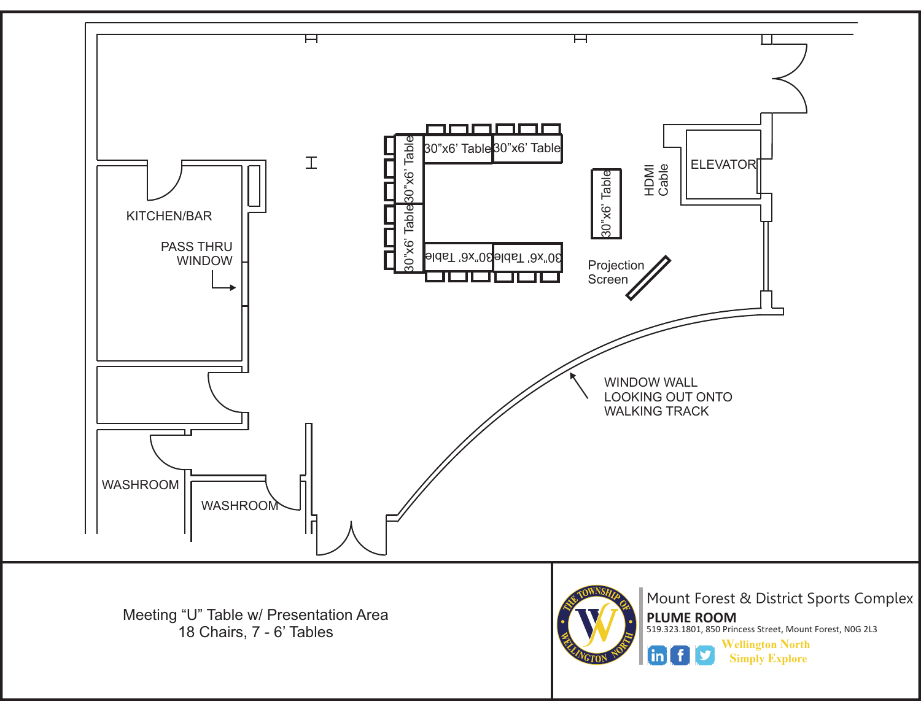

Meeting "U" Table w/ Presentation Area 18 Chairs, 7 - 6' Tables



 $\ln$   $\mathbf{f}$ 

У

 519.323.1801, 850 Princess Street, Mount Forest, N0G 2L3 **W Nellington orthS E imply xplore**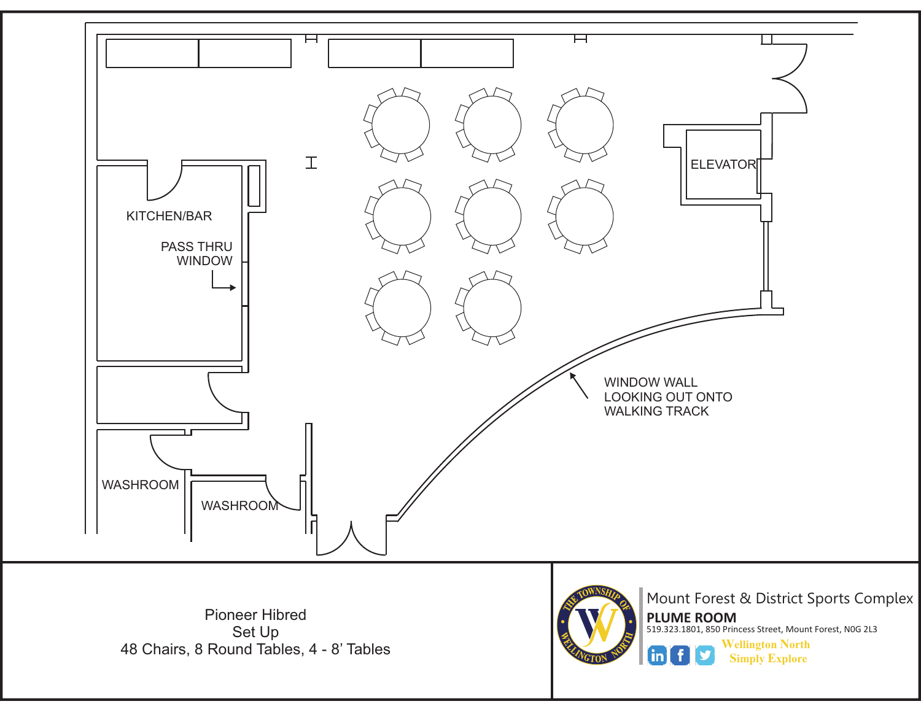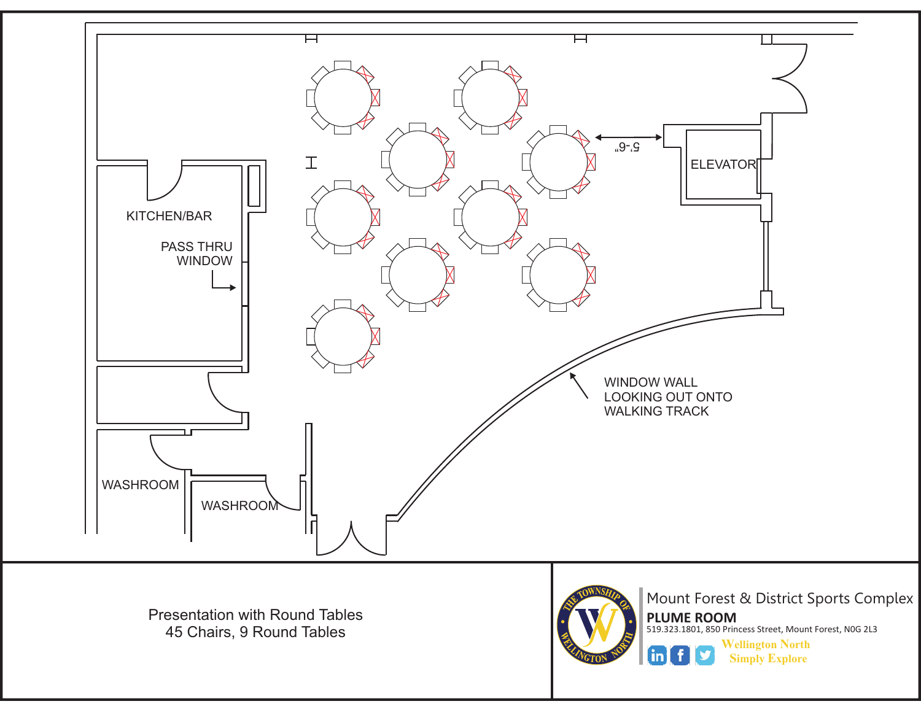

Presentation with Round Tables45 Chairs, 9 Round Tables



Mount Forest & District Sports Complex**PLUME ROOM**519.323.1801, 850 Princess Street, Mount Forest, N0G 2L3 **W Nellington orth** $\ln$   $f$ У **S E imply xplore**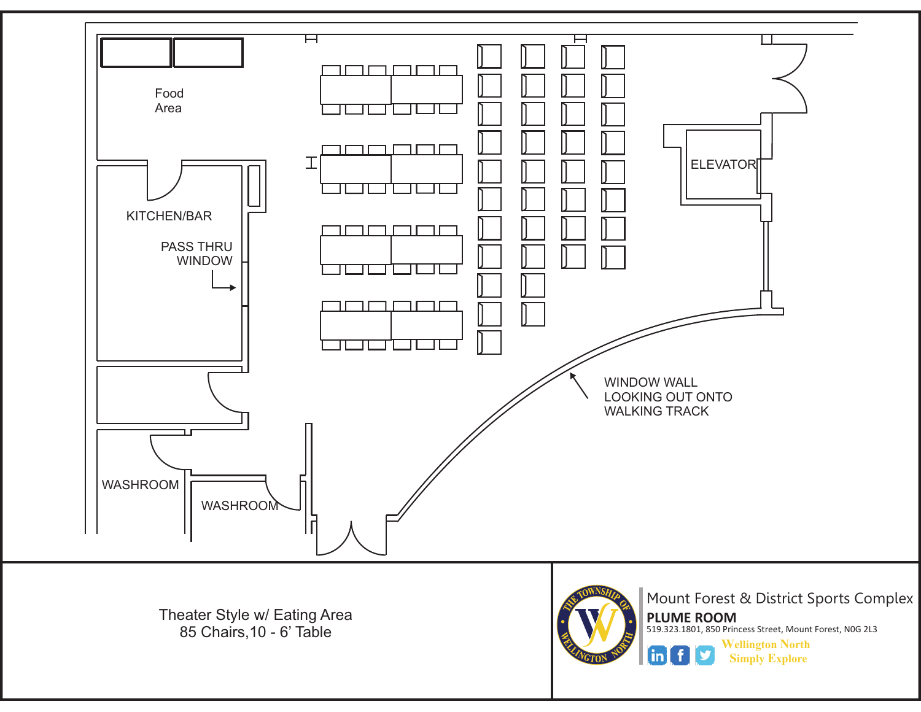

Theater Style w/ Eating Area 85 Chairs,10 - 6' Table



Mount Forest & District Sports Complex**PLUME ROOM**519.323.1801, 850 Princess Street, Mount Forest, N0G 2L3 **W Nellington orth** $\ln$  f y **S E imply xplore**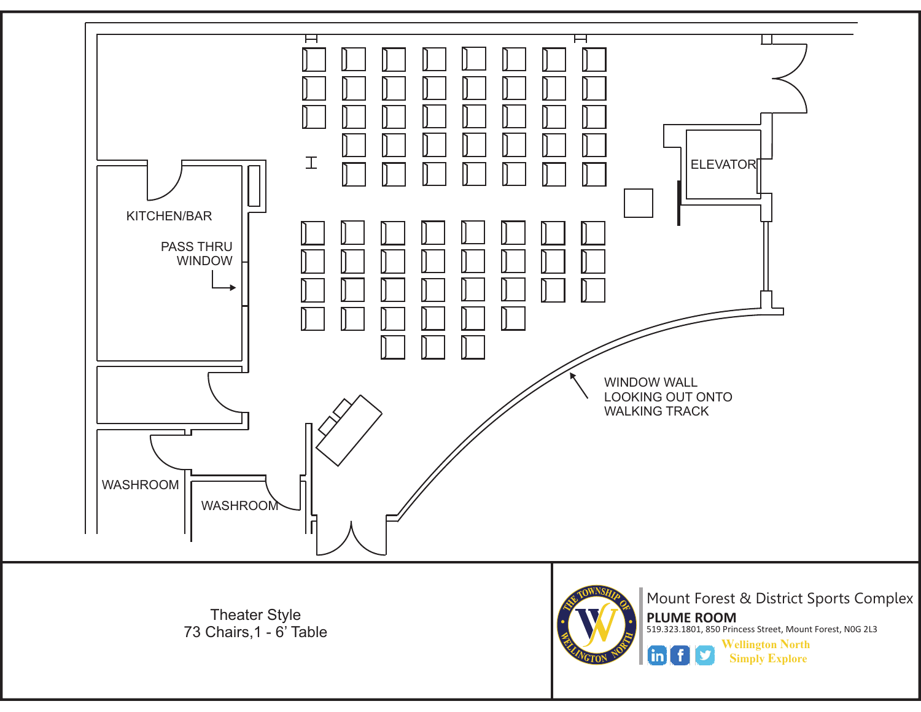

Theater Style 73 Chairs,1 - 6' Table



Mount Forest & District Sports Complex**PLUME ROOM**519.323.1801, 850 Princess Street, Mount Forest, N0G 2L3 **W Nellington orth** $\ln$   $\mathbf{f}$ y **S E imply xplore**